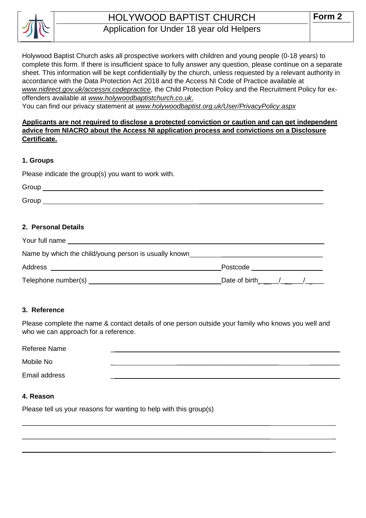

# HOLYWOOD BAPTIST CHURCH Application for Under 18 year old Helpers

Holywood Baptist Church asks all prospective workers with children and young people (0-18 years) to complete this form. If there is insufficient space to fully answer any question, please continue on a separate sheet. This information will be kept confidentially by the church, unless requested by a relevant authority in accordance with the Data Protection Act 2018 and the Access NI Code of Practice available at *[www.nidirect.gov.uk/accessni.codepractice](http://www.nidirect.gov.uk/accessni.codepractice)*, the Child Protection Policy and the Recruitment Policy for exoffenders available at *[www.holywoodbaptistchurch.co.uk](http://www.holywoodbaptistchurch.co.uk/)*.

You can find our privacy statement at *www.holywoodbaptist.org.uk/User/PrivacyPolicy.aspx*

## **Applicants are not required to disclose a protected conviction or caution and can get independent advice from NIACRO about the Access NI application process and convictions on a Disclosure Certificate.**

#### **1. Groups**

Please indicate the group(s) you want to work with.

| Group |  |  |
|-------|--|--|
| Group |  |  |

## **2. Personal Details**

| Your full name                                        |                   |  |  |
|-------------------------------------------------------|-------------------|--|--|
| Name by which the child/young person is usually known |                   |  |  |
| Address                                               | Postcode          |  |  |
| Telephone number(s)                                   | Date of birth / / |  |  |

#### **3. Reference**

Please complete the name & contact details of one person outside your family who knows you well and who we can approach for a reference.

| Referee Name  |  |  |
|---------------|--|--|
| Mobile No     |  |  |
| Email address |  |  |

 $\_$  , and the set of the set of the set of the set of the set of the set of the set of the set of the set of the set of the set of the set of the set of the set of the set of the set of the set of the set of the set of th

 $\_$  , and the set of the set of the set of the set of the set of the set of the set of the set of the set of the set of the set of the set of the set of the set of the set of the set of the set of the set of the set of th

 $\_$  , and the set of the set of the set of the set of the set of the set of the set of the set of the set of the set of the set of the set of the set of the set of the set of the set of the set of the set of the set of th

#### **4. Reason**

Please tell us your reasons for wanting to help with this group(s)